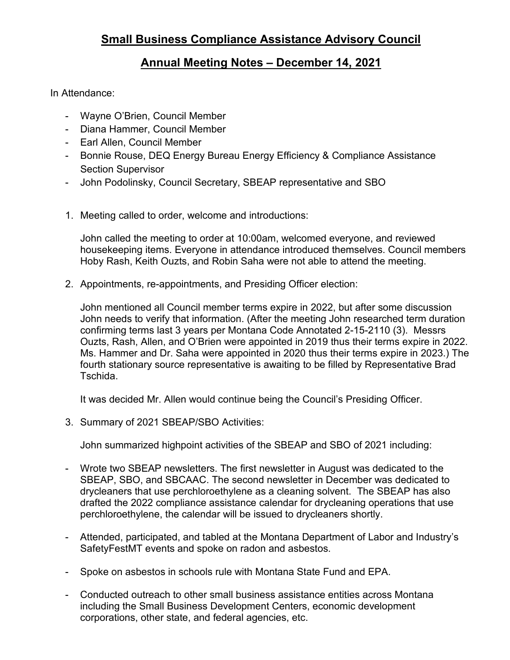## **Annual Meeting Notes – December 14, 2021**

In Attendance:

- Wayne O'Brien, Council Member
- Diana Hammer, Council Member
- Earl Allen, Council Member
- Bonnie Rouse, DEQ Energy Bureau Energy Efficiency & Compliance Assistance Section Supervisor
- John Podolinsky, Council Secretary, SBEAP representative and SBO
- 1. Meeting called to order, welcome and introductions:

John called the meeting to order at 10:00am, welcomed everyone, and reviewed housekeeping items. Everyone in attendance introduced themselves. Council members Hoby Rash, Keith Ouzts, and Robin Saha were not able to attend the meeting.

2. Appointments, re-appointments, and Presiding Officer election:

John mentioned all Council member terms expire in 2022, but after some discussion John needs to verify that information. (After the meeting John researched term duration confirming terms last 3 years per Montana Code Annotated 2-15-2110 (3). Messrs Ouzts, Rash, Allen, and O'Brien were appointed in 2019 thus their terms expire in 2022. Ms. Hammer and Dr. Saha were appointed in 2020 thus their terms expire in 2023.) The fourth stationary source representative is awaiting to be filled by Representative Brad Tschida.

It was decided Mr. Allen would continue being the Council's Presiding Officer.

3. Summary of 2021 SBEAP/SBO Activities:

John summarized highpoint activities of the SBEAP and SBO of 2021 including:

- Wrote two SBEAP newsletters. The first newsletter in August was dedicated to the SBEAP, SBO, and SBCAAC. The second newsletter in December was dedicated to drycleaners that use perchloroethylene as a cleaning solvent. The SBEAP has also drafted the 2022 compliance assistance calendar for drycleaning operations that use perchloroethylene, the calendar will be issued to drycleaners shortly.
- Attended, participated, and tabled at the Montana Department of Labor and Industry's SafetyFestMT events and spoke on radon and asbestos.
- Spoke on asbestos in schools rule with Montana State Fund and EPA.
- Conducted outreach to other small business assistance entities across Montana including the Small Business Development Centers, economic development corporations, other state, and federal agencies, etc.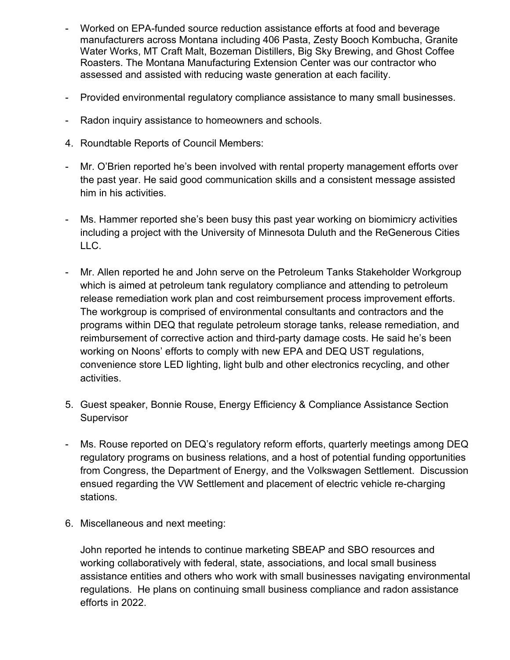- Worked on EPA-funded source reduction assistance efforts at food and beverage manufacturers across Montana including 406 Pasta, Zesty Booch Kombucha, Granite Water Works, MT Craft Malt, Bozeman Distillers, Big Sky Brewing, and Ghost Coffee Roasters. The Montana Manufacturing Extension Center was our contractor who assessed and assisted with reducing waste generation at each facility.
- Provided environmental regulatory compliance assistance to many small businesses.
- Radon inquiry assistance to homeowners and schools.
- 4. Roundtable Reports of Council Members:
- Mr. O'Brien reported he's been involved with rental property management efforts over the past year. He said good communication skills and a consistent message assisted him in his activities.
- Ms. Hammer reported she's been busy this past year working on biomimicry activities including a project with the University of Minnesota Duluth and the ReGenerous Cities LLC.
- Mr. Allen reported he and John serve on the Petroleum Tanks Stakeholder Workgroup which is aimed at petroleum tank regulatory compliance and attending to petroleum release remediation work plan and cost reimbursement process improvement efforts. The workgroup is comprised of environmental consultants and contractors and the programs within DEQ that regulate petroleum storage tanks, release remediation, and reimbursement of corrective action and third-party damage costs. He said he's been working on Noons' efforts to comply with new EPA and DEQ UST regulations, convenience store LED lighting, light bulb and other electronics recycling, and other activities.
- 5. Guest speaker, Bonnie Rouse, Energy Efficiency & Compliance Assistance Section **Supervisor**
- Ms. Rouse reported on DEQ's regulatory reform efforts, quarterly meetings among DEQ regulatory programs on business relations, and a host of potential funding opportunities from Congress, the Department of Energy, and the Volkswagen Settlement. Discussion ensued regarding the VW Settlement and placement of electric vehicle re-charging stations.
- 6. Miscellaneous and next meeting:

John reported he intends to continue marketing SBEAP and SBO resources and working collaboratively with federal, state, associations, and local small business assistance entities and others who work with small businesses navigating environmental regulations. He plans on continuing small business compliance and radon assistance efforts in 2022.